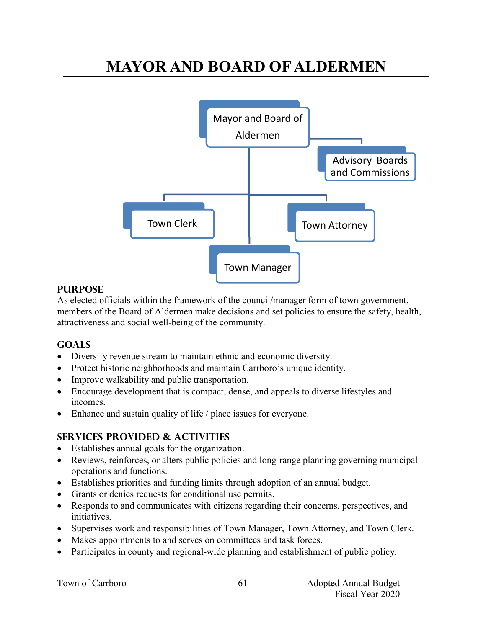# **MAYOR AND BOARD OF ALDERMEN**



## **PURPOSE**

As elected officials within the framework of the council/manager form of town government, members of the Board of Aldermen make decisions and set policies to ensure the safety, health, attractiveness and social well-being of the community.

## **Goals**

- Diversify revenue stream to maintain ethnic and economic diversity.
- Protect historic neighborhoods and maintain Carrboro's unique identity.
- Improve walkability and public transportation.
- Encourage development that is compact, dense, and appeals to diverse lifestyles and incomes.
- Enhance and sustain quality of life / place issues for everyone.

## **Services provided & activities**

- Establishes annual goals for the organization.
- Reviews, reinforces, or alters public policies and long-range planning governing municipal operations and functions.
- Establishes priorities and funding limits through adoption of an annual budget.
- Grants or denies requests for conditional use permits.
- Responds to and communicates with citizens regarding their concerns, perspectives, and initiatives.
- Supervises work and responsibilities of Town Manager, Town Attorney, and Town Clerk.
- Makes appointments to and serves on committees and task forces.
- Participates in county and regional-wide planning and establishment of public policy.

|  | Town of Carrboro |
|--|------------------|
|--|------------------|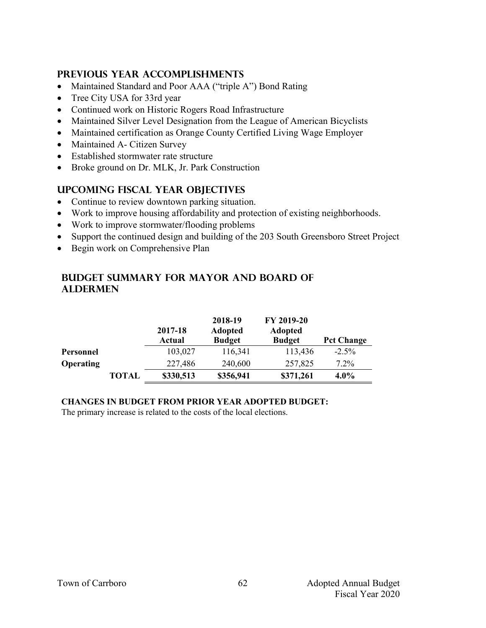## **Previous year accomplishments**

- Maintained Standard and Poor AAA ("triple A") Bond Rating
- Tree City USA for 33rd year
- Continued work on Historic Rogers Road Infrastructure
- Maintained Silver Level Designation from the League of American Bicyclists
- Maintained certification as Orange County Certified Living Wage Employer
- Maintained A- Citizen Survey
- Established stormwater rate structure
- Broke ground on Dr. MLK, Jr. Park Construction

## **Upcoming Fiscal year objectives**

- Continue to review downtown parking situation.
- Work to improve housing affordability and protection of existing neighborhoods.
- Work to improve stormwater/flooding problems
- Support the continued design and building of the 203 South Greensboro Street Project
- Begin work on Comprehensive Plan

## **Budget summary for Mayor and board of aldermen**

|                  |       | 2017-18<br>Actual | 2018-19<br><b>Adopted</b><br><b>Budget</b> | FY 2019-20<br><b>Adopted</b><br><b>Budget</b> | <b>Pct Change</b> |
|------------------|-------|-------------------|--------------------------------------------|-----------------------------------------------|-------------------|
| Personnel        |       | 103,027           | 116,341                                    | 113,436                                       | $-2.5\%$          |
| <b>Operating</b> |       | 227,486           | 240,600                                    | 257,825                                       | $7.2\%$           |
|                  | TOTAL | \$330,513         | \$356,941                                  | \$371,261                                     | $4.0\%$           |

#### **CHANGES IN BUDGET FROM PRIOR YEAR ADOPTED BUDGET:**

The primary increase is related to the costs of the local elections.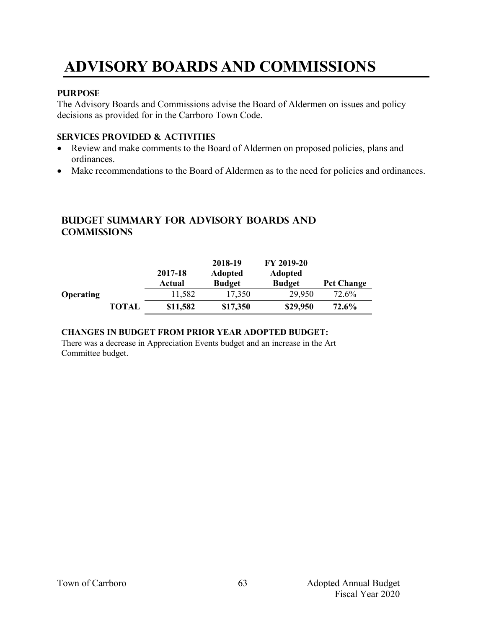# **ADVISORY BOARDS AND COMMISSIONS**

#### **PURPOSE**

The Advisory Boards and Commissions advise the Board of Aldermen on issues and policy decisions as provided for in the Carrboro Town Code.

#### **Services provided & activities**

- Review and make comments to the Board of Aldermen on proposed policies, plans and ordinances.
- Make recommendations to the Board of Aldermen as to the need for policies and ordinances.

## **Budget summary for advisory boards and commissions**

|                  |              | 2017-18<br>Actual | 2018-19<br><b>Adopted</b><br><b>Budget</b> | FY 2019-20<br><b>Adopted</b><br><b>Budget</b> | <b>Pct Change</b> |
|------------------|--------------|-------------------|--------------------------------------------|-----------------------------------------------|-------------------|
| <b>Operating</b> |              | 11,582            | 17,350                                     | 29,950                                        | 72.6%             |
|                  | <b>TOTAL</b> | \$11,582          | \$17,350                                   | \$29,950                                      | 72.6%             |

#### **CHANGES IN BUDGET FROM PRIOR YEAR ADOPTED BUDGET:**

There was a decrease in Appreciation Events budget and an increase in the Art Committee budget.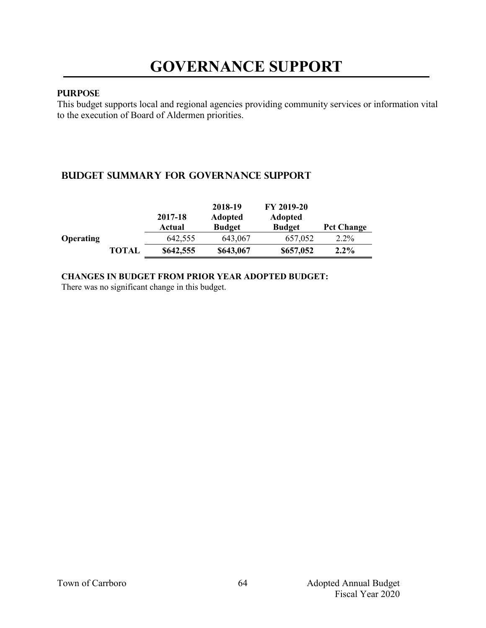#### **PURPOSE**

This budget supports local and regional agencies providing community services or information vital to the execution of Board of Aldermen priorities.

## **Budget summary for Governance support**

|                  |              | 2017-18<br>Actual | 2018-19<br><b>Adopted</b><br><b>Budget</b> | FY 2019-20<br><b>Adopted</b><br><b>Budget</b> | <b>Pct Change</b> |
|------------------|--------------|-------------------|--------------------------------------------|-----------------------------------------------|-------------------|
| <b>Operating</b> |              | 642,555           | 643,067                                    | 657,052                                       | $2.2\%$           |
|                  | <b>TOTAL</b> | \$642,555         | \$643,067                                  | \$657,052                                     | $2.2\%$           |

#### **CHANGES IN BUDGET FROM PRIOR YEAR ADOPTED BUDGET:**

There was no significant change in this budget.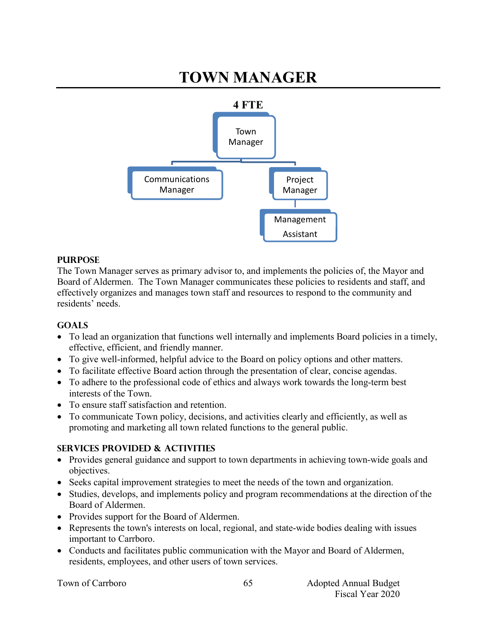# **TOWN MANAGER**



#### **PURPOSE**

The Town Manager serves as primary advisor to, and implements the policies of, the Mayor and Board of Aldermen. The Town Manager communicates these policies to residents and staff, and effectively organizes and manages town staff and resources to respond to the community and residents' needs.

#### **GOALS**

- To lead an organization that functions well internally and implements Board policies in a timely, effective, efficient, and friendly manner.
- To give well-informed, helpful advice to the Board on policy options and other matters.
- To facilitate effective Board action through the presentation of clear, concise agendas.
- To adhere to the professional code of ethics and always work towards the long-term best interests of the Town.
- To ensure staff satisfaction and retention.
- To communicate Town policy, decisions, and activities clearly and efficiently, as well as promoting and marketing all town related functions to the general public.

#### **SERVICES PROVIDED & ACTIVITIES**

- Provides general guidance and support to town departments in achieving town-wide goals and objectives.
- Seeks capital improvement strategies to meet the needs of the town and organization.
- Studies, develops, and implements policy and program recommendations at the direction of the Board of Aldermen.
- Provides support for the Board of Aldermen.
- Represents the town's interests on local, regional, and state-wide bodies dealing with issues important to Carrboro.
- Conducts and facilitates public communication with the Mayor and Board of Aldermen, residents, employees, and other users of town services.

65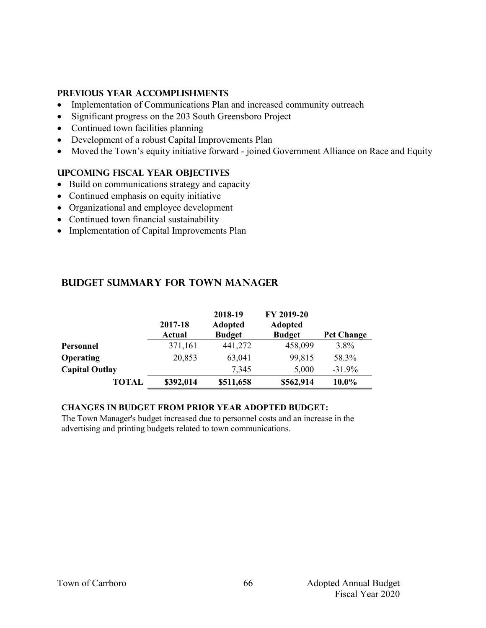#### **PREVIOUS YEAR ACCOMPLISHMENTS**

- Implementation of Communications Plan and increased community outreach
- Significant progress on the 203 South Greensboro Project
- Continued town facilities planning
- Development of a robust Capital Improvements Plan
- Moved the Town's equity initiative forward joined Government Alliance on Race and Equity

#### **UPCOMING FISCAL YEAR OBJECTIVES**

- Build on communications strategy and capacity
- Continued emphasis on equity initiative
- Organizational and employee development
- Continued town financial sustainability
- Implementation of Capital Improvements Plan

|                       | 2017-18<br>Actual | 2018-19<br><b>Adopted</b><br><b>Budget</b> | FY 2019-20<br><b>Adopted</b><br><b>Budget</b> | <b>Pct Change</b> |
|-----------------------|-------------------|--------------------------------------------|-----------------------------------------------|-------------------|
| Personnel             | 371,161           | 441,272                                    | 458,099                                       | $3.8\%$           |
| <b>Operating</b>      | 20,853            | 63,041                                     | 99,815                                        | 58.3%             |
| <b>Capital Outlay</b> |                   | 7,345                                      | 5,000                                         | $-31.9%$          |
| <b>TOTAL</b>          | \$392,014         | \$511,658                                  | \$562,914                                     | 10.0%             |

## **Budget summary for town manager**

#### **CHANGES IN BUDGET FROM PRIOR YEAR ADOPTED BUDGET:**

The Town Manager's budget increased due to personnel costs and an increase in the advertising and printing budgets related to town communications.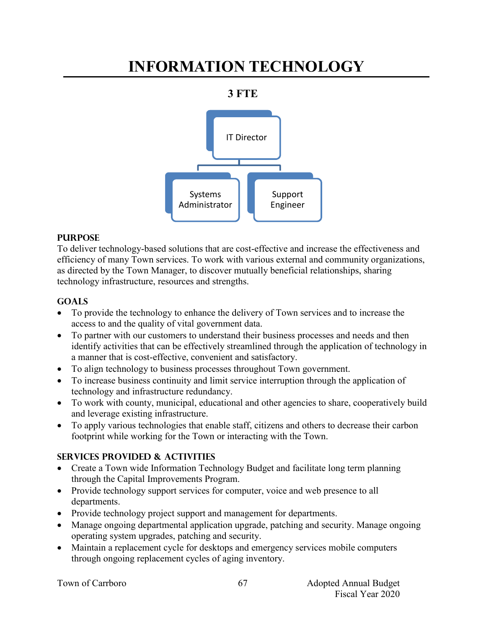# **INFORMATION TECHNOLOGY**

## **3 FTE**



## **PURPOSE**

To deliver technology-based solutions that are cost-effective and increase the effectiveness and efficiency of many Town services. To work with various external and community organizations, as directed by the Town Manager, to discover mutually beneficial relationships, sharing technology infrastructure, resources and strengths.

## **Goals**

- To provide the technology to enhance the delivery of Town services and to increase the access to and the quality of vital government data.
- To partner with our customers to understand their business processes and needs and then identify activities that can be effectively streamlined through the application of technology in a manner that is cost-effective, convenient and satisfactory.
- To align technology to business processes throughout Town government.
- To increase business continuity and limit service interruption through the application of technology and infrastructure redundancy.
- To work with county, municipal, educational and other agencies to share, cooperatively build and leverage existing infrastructure.
- To apply various technologies that enable staff, citizens and others to decrease their carbon footprint while working for the Town or interacting with the Town.

## **Services provided & activities**

- Create a Town wide Information Technology Budget and facilitate long term planning through the Capital Improvements Program.
- Provide technology support services for computer, voice and web presence to all departments.
- Provide technology project support and management for departments.
- Manage ongoing departmental application upgrade, patching and security. Manage ongoing operating system upgrades, patching and security.
- Maintain a replacement cycle for desktops and emergency services mobile computers through ongoing replacement cycles of aging inventory.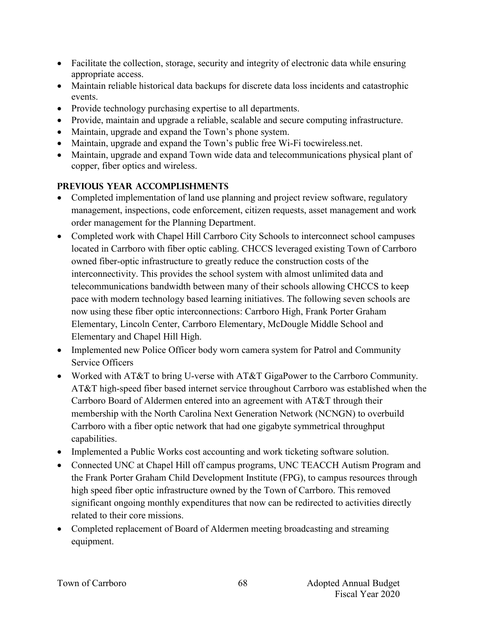- Facilitate the collection, storage, security and integrity of electronic data while ensuring appropriate access.
- Maintain reliable historical data backups for discrete data loss incidents and catastrophic events.
- Provide technology purchasing expertise to all departments.
- Provide, maintain and upgrade a reliable, scalable and secure computing infrastructure.
- Maintain, upgrade and expand the Town's phone system.
- Maintain, upgrade and expand the Town's public free Wi-Fi tocwireless.net.
- Maintain, upgrade and expand Town wide data and telecommunications physical plant of copper, fiber optics and wireless.

## **Previous year accomplishments**

- Completed implementation of land use planning and project review software, regulatory management, inspections, code enforcement, citizen requests, asset management and work order management for the Planning Department.
- Completed work with Chapel Hill Carrboro City Schools to interconnect school campuses located in Carrboro with fiber optic cabling. CHCCS leveraged existing Town of Carrboro owned fiber-optic infrastructure to greatly reduce the construction costs of the interconnectivity. This provides the school system with almost unlimited data and telecommunications bandwidth between many of their schools allowing CHCCS to keep pace with modern technology based learning initiatives. The following seven schools are now using these fiber optic interconnections: Carrboro High, Frank Porter Graham Elementary, Lincoln Center, Carrboro Elementary, McDougle Middle School and Elementary and Chapel Hill High.
- Implemented new Police Officer body worn camera system for Patrol and Community Service Officers
- Worked with AT&T to bring U-verse with AT&T GigaPower to the Carrboro Community. AT&T high-speed fiber based internet service throughout Carrboro was established when the Carrboro Board of Aldermen entered into an agreement with AT&T through their membership with the North Carolina Next Generation Network (NCNGN) to overbuild Carrboro with a fiber optic network that had one gigabyte symmetrical throughput capabilities.
- Implemented a Public Works cost accounting and work ticketing software solution.
- Connected UNC at Chapel Hill off campus programs, UNC TEACCH Autism Program and the Frank Porter Graham Child Development Institute (FPG), to campus resources through high speed fiber optic infrastructure owned by the Town of Carrboro. This removed significant ongoing monthly expenditures that now can be redirected to activities directly related to their core missions.
- Completed replacement of Board of Aldermen meeting broadcasting and streaming equipment.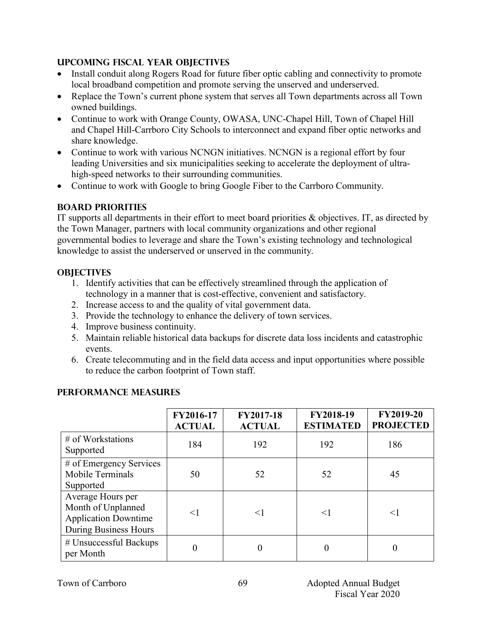#### **Upcoming Fiscal year objectives**

- Install conduit along Rogers Road for future fiber optic cabling and connectivity to promote local broadband competition and promote serving the unserved and underserved.
- Replace the Town's current phone system that serves all Town departments across all Town owned buildings.
- Continue to work with Orange County, OWASA, UNC-Chapel Hill, Town of Chapel Hill and Chapel Hill-Carrboro City Schools to interconnect and expand fiber optic networks and share knowledge.
- Continue to work with various NCNGN initiatives. NCNGN is a regional effort by four leading Universities and six municipalities seeking to accelerate the deployment of ultrahigh-speed networks to their surrounding communities.
- Continue to work with Google to bring Google Fiber to the Carrboro Community.

## **BOARD PRIORITIES**

IT supports all departments in their effort to meet board priorities & objectives. IT, as directed by the Town Manager, partners with local community organizations and other regional governmental bodies to leverage and share the Town's existing technology and technological knowledge to assist the underserved or unserved in the community.

#### **OBJECTIVES**

- 1. Identify activities that can be effectively streamlined through the application of technology in a manner that is cost-effective, convenient and satisfactory.
- 2. Increase access to and the quality of vital government data.
- 3. Provide the technology to enhance the delivery of town services.
- 4. Improve business continuity.
- 5. Maintain reliable historical data backups for discrete data loss incidents and catastrophic events.
- 6. Create telecommuting and in the field data access and input opportunities where possible to reduce the carbon footprint of Town staff.

|                                                                                                 | FY2016-17<br><b>ACTUAL</b> | FY2017-18<br><b>ACTUAL</b> | FY2018-19<br><b>ESTIMATED</b> | <b>FY2019-20</b><br><b>PROJECTED</b> |
|-------------------------------------------------------------------------------------------------|----------------------------|----------------------------|-------------------------------|--------------------------------------|
| $#$ of Workstations<br>Supported                                                                | 184                        | 192                        | 192                           | 186                                  |
| # of Emergency Services<br>Mobile Terminals<br>Supported                                        | 50                         | 52                         | 52                            | 45                                   |
| Average Hours per<br>Month of Unplanned<br><b>Application Downtime</b><br>During Business Hours | $<$ 1                      | $\leq$ 1                   | $\leq$                        | $\leq$ 1                             |
| # Unsuccessful Backups<br>per Month                                                             |                            |                            | 0                             |                                      |

## **PERFORMANCE MEASURES**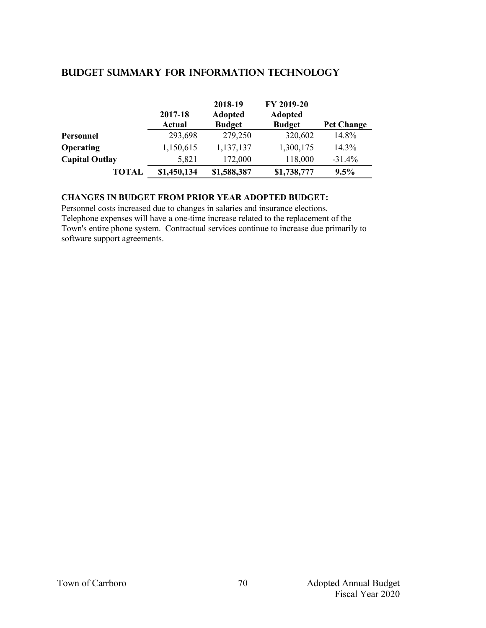|                       | 2017-18<br><b>Actual</b> | 2018-19<br><b>Adopted</b><br><b>Budget</b> | FY 2019-20<br><b>Adopted</b><br><b>Budget</b> | <b>Pct Change</b> |
|-----------------------|--------------------------|--------------------------------------------|-----------------------------------------------|-------------------|
| Personnel             | 293,698                  | 279,250                                    | 320,602                                       | 14.8%             |
| <b>Operating</b>      | 1,150,615                | 1,137,137                                  | 1,300,175                                     | 14.3%             |
| <b>Capital Outlay</b> | 5,821                    | 172,000                                    | 118,000                                       | $-31.4%$          |
| TOTAL                 | \$1,450,134              | \$1,588,387                                | \$1,738,777                                   | 9.5%              |

#### **Budget summary for information technology**

#### **CHANGES IN BUDGET FROM PRIOR YEAR ADOPTED BUDGET:**

Personnel costs increased due to changes in salaries and insurance elections. Telephone expenses will have a one-time increase related to the replacement of the Town's entire phone system. Contractual services continue to increase due primarily to software support agreements.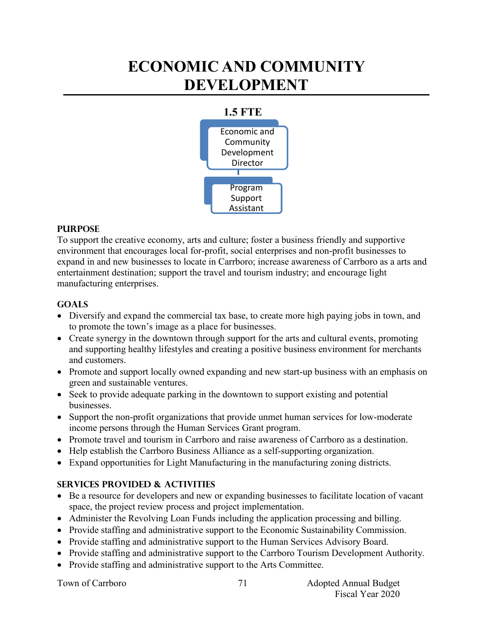## **ECONOMIC AND COMMUNITY DEVELOPMENT**



#### **PURPOSE**

To support the creative economy, arts and culture; foster a business friendly and supportive environment that encourages local for-profit, social enterprises and non-profit businesses to expand in and new businesses to locate in Carrboro; increase awareness of Carrboro as a arts and entertainment destination; support the travel and tourism industry; and encourage light manufacturing enterprises.

#### **Goals**

- Diversify and expand the commercial tax base, to create more high paying jobs in town, and to promote the town's image as a place for businesses.
- Create synergy in the downtown through support for the arts and cultural events, promoting and supporting healthy lifestyles and creating a positive business environment for merchants and customers.
- Promote and support locally owned expanding and new start-up business with an emphasis on green and sustainable ventures.
- Seek to provide adequate parking in the downtown to support existing and potential businesses.
- Support the non-profit organizations that provide unmet human services for low-moderate income persons through the Human Services Grant program.
- Promote travel and tourism in Carrboro and raise awareness of Carrboro as a destination.
- Help establish the Carrboro Business Alliance as a self-supporting organization.
- Expand opportunities for Light Manufacturing in the manufacturing zoning districts.

## **Services provided & activities**

- Be a resource for developers and new or expanding businesses to facilitate location of vacant space, the project review process and project implementation.
- Administer the Revolving Loan Funds including the application processing and billing.
- Provide staffing and administrative support to the Economic Sustainability Commission.
- Provide staffing and administrative support to the Human Services Advisory Board.
- Provide staffing and administrative support to the Carrboro Tourism Development Authority.
- Provide staffing and administrative support to the Arts Committee.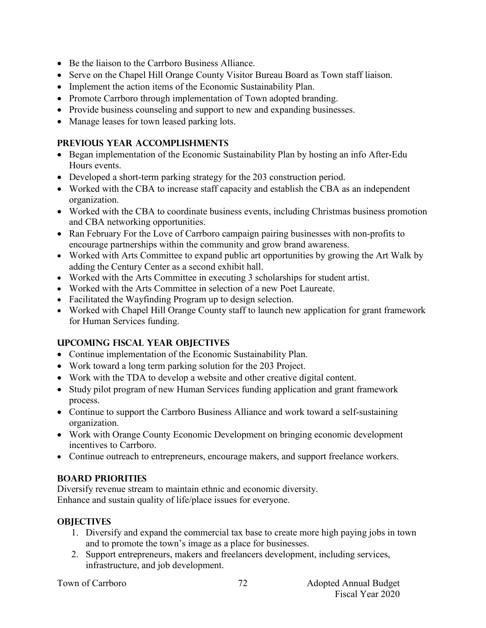- Be the liaison to the Carrboro Business Alliance.
- Serve on the Chapel Hill Orange County Visitor Bureau Board as Town staff liaison.
- Implement the action items of the Economic Sustainability Plan.
- Promote Carrboro through implementation of Town adopted branding.
- Provide business counseling and support to new and expanding businesses.
- Manage leases for town leased parking lots.

#### **Previous year accomplishments**

- Began implementation of the Economic Sustainability Plan by hosting an info After-Edu Hours events.
- Developed a short-term parking strategy for the 203 construction period.
- Worked with the CBA to increase staff capacity and establish the CBA as an independent organization.
- Worked with the CBA to coordinate business events, including Christmas business promotion and CBA networking opportunities.
- Ran February For the Love of Carrboro campaign pairing businesses with non-profits to encourage partnerships within the community and grow brand awareness.
- Worked with Arts Committee to expand public art opportunities by growing the Art Walk by adding the Century Center as a second exhibit hall.
- Worked with the Arts Committee in executing 3 scholarships for student artist.
- Worked with the Arts Committee in selection of a new Poet Laureate.
- Facilitated the Wayfinding Program up to design selection.
- Worked with Chapel Hill Orange County staff to launch new application for grant framework for Human Services funding.

## **Upcoming Fiscal year objectives**

- Continue implementation of the Economic Sustainability Plan.
- Work toward a long term parking solution for the 203 Project.
- Work with the TDA to develop a website and other creative digital content.
- Study pilot program of new Human Services funding application and grant framework process.
- Continue to support the Carrboro Business Alliance and work toward a self-sustaining organization.
- Work with Orange County Economic Development on bringing economic development incentives to Carrboro.
- Continue outreach to entrepreneurs, encourage makers, and support freelance workers.

## **BOARD PRIORITIES**

Diversify revenue stream to maintain ethnic and economic diversity. Enhance and sustain quality of life/place issues for everyone.

## **OBJECTIVES**

- 1. Diversify and expand the commercial tax base to create more high paying jobs in town and to promote the town's image as a place for businesses.
- 2. Support entrepreneurs, makers and freelancers development, including services, infrastructure, and job development.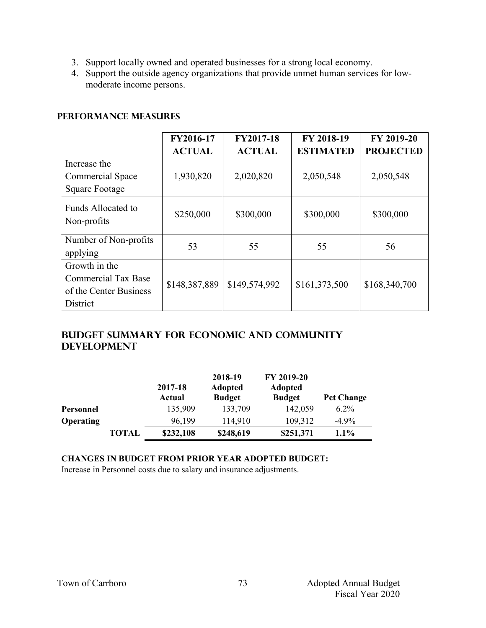- 3. Support locally owned and operated businesses for a strong local economy.
- 4. Support the outside agency organizations that provide unmet human services for lowmoderate income persons.

#### **PERFORMANCE MEASURES**

|                                   | FY2016-17     | FY2017-18     | FY 2018-19       | FY 2019-20       |
|-----------------------------------|---------------|---------------|------------------|------------------|
|                                   | <b>ACTUAL</b> | <b>ACTUAL</b> | <b>ESTIMATED</b> | <b>PROJECTED</b> |
| Increase the                      |               |               |                  |                  |
| Commercial Space                  | 1,930,820     | 2,020,820     | 2,050,548        | 2,050,548        |
| <b>Square Footage</b>             |               |               |                  |                  |
| Funds Allocated to<br>Non-profits | \$250,000     | \$300,000     | \$300,000        | \$300,000        |
| Number of Non-profits             | 53            | 55            | 55               | 56               |
| applying                          |               |               |                  |                  |
| Growth in the                     |               |               |                  |                  |
| <b>Commercial Tax Base</b>        | \$148,387,889 | \$149,574,992 | \$161,373,500    | \$168,340,700    |
| of the Center Business            |               |               |                  |                  |
| District                          |               |               |                  |                  |

## **Budget summary for Economic and community development**

|                  |              | 2017-18<br>Actual | 2018-19<br><b>Adopted</b><br><b>Budget</b> | FY 2019-20<br><b>Adopted</b><br><b>Budget</b> | <b>Pct Change</b> |
|------------------|--------------|-------------------|--------------------------------------------|-----------------------------------------------|-------------------|
| Personnel        |              | 135,909           | 133,709                                    | 142,059                                       | $6.2\%$           |
| <b>Operating</b> |              | 96,199            | 114,910                                    | 109,312                                       | $-4.9\%$          |
|                  | <b>TOTAL</b> | \$232,108         | \$248,619                                  | \$251,371                                     | 1.1%              |

#### **CHANGES IN BUDGET FROM PRIOR YEAR ADOPTED BUDGET:**

Increase in Personnel costs due to salary and insurance adjustments.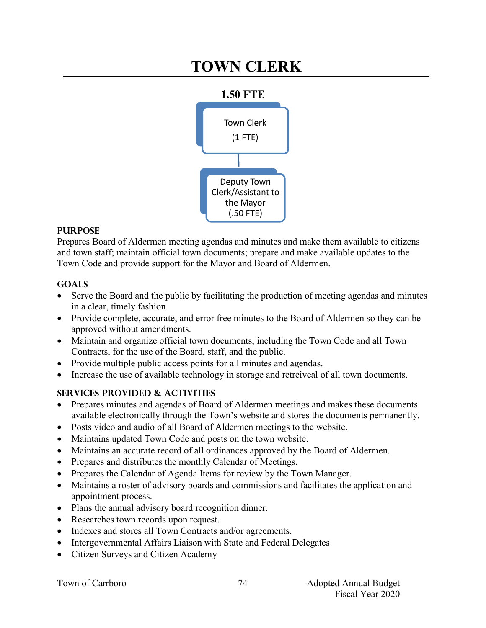## **TOWN CLERK**



#### **PURPOSE**

Prepares Board of Aldermen meeting agendas and minutes and make them available to citizens and town staff; maintain official town documents; prepare and make available updates to the Town Code and provide support for the Mayor and Board of Aldermen.

#### **Goals**

- Serve the Board and the public by facilitating the production of meeting agendas and minutes in a clear, timely fashion.
- Provide complete, accurate, and error free minutes to the Board of Aldermen so they can be approved without amendments.
- Maintain and organize official town documents, including the Town Code and all Town Contracts, for the use of the Board, staff, and the public.
- Provide multiple public access points for all minutes and agendas.
- Increase the use of available technology in storage and retreiveal of all town documents.

## **Services provided & activities**

- Prepares minutes and agendas of Board of Aldermen meetings and makes these documents available electronically through the Town's website and stores the documents permanently.
- Posts video and audio of all Board of Aldermen meetings to the website.
- Maintains updated Town Code and posts on the town website.
- Maintains an accurate record of all ordinances approved by the Board of Aldermen.
- Prepares and distributes the monthly Calendar of Meetings.
- Prepares the Calendar of Agenda Items for review by the Town Manager.
- Maintains a roster of advisory boards and commissions and facilitates the application and appointment process.
- Plans the annual advisory board recognition dinner.
- Researches town records upon request.
- Indexes and stores all Town Contracts and/or agreements.
- Intergovernmental Affairs Liaison with State and Federal Delegates
- Citizen Surveys and Citizen Academy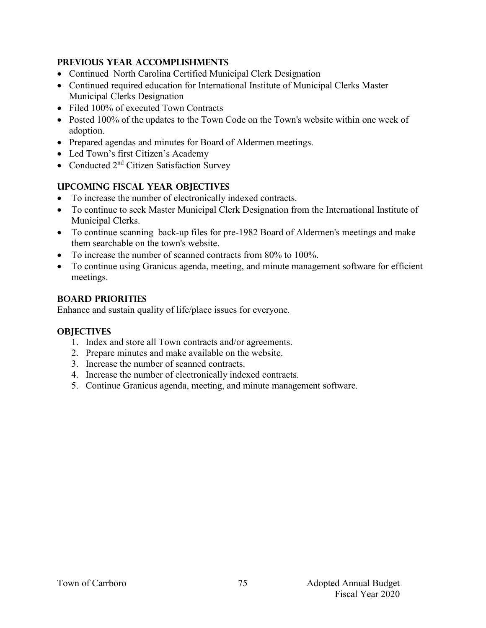#### **Previous year accomplishments**

- Continued North Carolina Certified Municipal Clerk Designation
- Continued required education for International Institute of Municipal Clerks Master Municipal Clerks Designation
- Filed 100% of executed Town Contracts
- Posted 100% of the updates to the Town Code on the Town's website within one week of adoption.
- Prepared agendas and minutes for Board of Aldermen meetings.
- Led Town's first Citizen's Academy
- Conducted  $2<sup>nd</sup>$  Citizen Satisfaction Survey

## **Upcoming Fiscal year objectives**

- To increase the number of electronically indexed contracts.
- To continue to seek Master Municipal Clerk Designation from the International Institute of Municipal Clerks.
- To continue scanning back-up files for pre-1982 Board of Aldermen's meetings and make them searchable on the town's website.
- To increase the number of scanned contracts from 80% to 100%.
- To continue using Granicus agenda, meeting, and minute management software for efficient meetings.

## **BOARD PRIORITIES**

Enhance and sustain quality of life/place issues for everyone.

## **OBJECTIVES**

- 1. Index and store all Town contracts and/or agreements.
- 2. Prepare minutes and make available on the website.
- 3. Increase the number of scanned contracts.
- 4. Increase the number of electronically indexed contracts.
- 5. Continue Granicus agenda, meeting, and minute management software.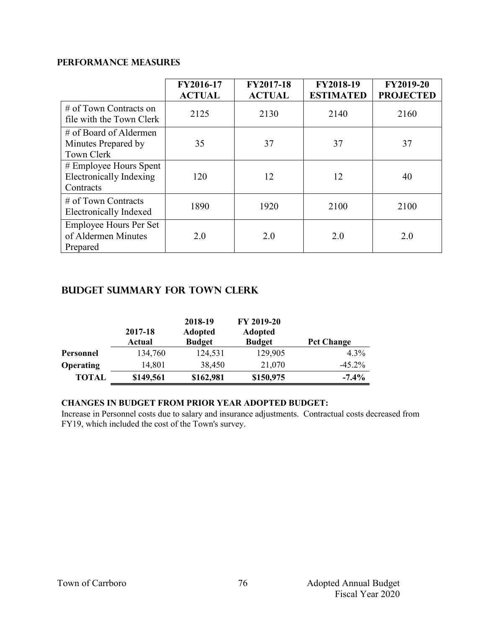#### **PERFORMANCE MEASURES**

|                                                                | FY2016-17<br><b>ACTUAL</b> | FY2017-18<br><b>ACTUAL</b> | FY2018-19<br><b>ESTIMATED</b> | <b>FY2019-20</b><br><b>PROJECTED</b> |
|----------------------------------------------------------------|----------------------------|----------------------------|-------------------------------|--------------------------------------|
| $#$ of Town Contracts on<br>file with the Town Clerk           | 2125                       | 2130                       | 2140                          | 2160                                 |
| $#$ of Board of Aldermen<br>Minutes Prepared by<br>Town Clerk  | 35                         | 37                         | 37                            | 37                                   |
| # Employee Hours Spent<br>Electronically Indexing<br>Contracts | 120                        | 12                         | 12                            | 40                                   |
| $\#$ of Town Contracts<br><b>Electronically Indexed</b>        | 1890                       | 1920                       | 2100                          | 2100                                 |
| Employee Hours Per Set<br>of Aldermen Minutes<br>Prepared      | 2.0                        | 2.0                        | 2.0                           | 2.0                                  |

## **Budget summary for Town Clerk**

|                  | 2017-18<br>Actual | 2018-19<br><b>Adopted</b><br><b>Budget</b> | FY 2019-20<br><b>Adopted</b><br><b>Budget</b> | <b>Pct Change</b> |
|------------------|-------------------|--------------------------------------------|-----------------------------------------------|-------------------|
| Personnel        | 134,760           | 124,531                                    | 129,905                                       | $4.3\%$           |
| <b>Operating</b> | 14,801            | 38,450                                     | 21,070                                        | $-45.2\%$         |
| <b>TOTAL</b>     | \$149,561         | \$162,981                                  | \$150,975                                     | $-7.4\%$          |

#### **CHANGES IN BUDGET FROM PRIOR YEAR ADOPTED BUDGET:**

Increase in Personnel costs due to salary and insurance adjustments. Contractual costs decreased from FY19, which included the cost of the Town's survey.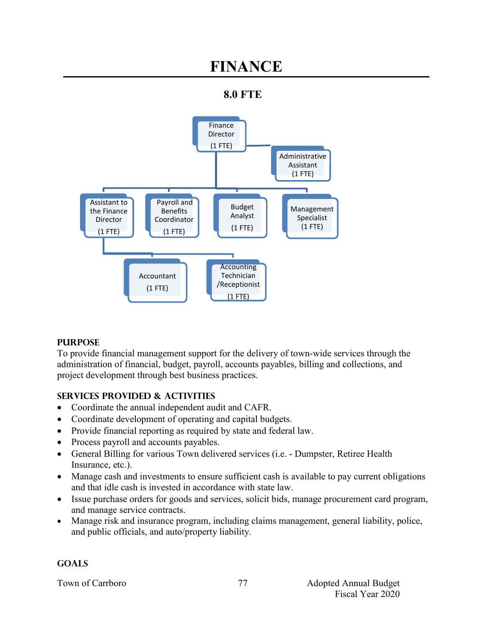## **FINANCE**





## **PURPOSE**

To provide financial management support for the delivery of town-wide services through the administration of financial, budget, payroll, accounts payables, billing and collections, and project development through best business practices.

## **SERVICES PROVIDED & ACTIVITIES**

- Coordinate the annual independent audit and CAFR.
- Coordinate development of operating and capital budgets.
- Provide financial reporting as required by state and federal law.
- Process payroll and accounts payables.
- General Billing for various Town delivered services (i.e. Dumpster, Retiree Health Insurance, etc.).
- Manage cash and investments to ensure sufficient cash is available to pay current obligations and that idle cash is invested in accordance with state law.
- Issue purchase orders for goods and services, solicit bids, manage procurement card program, and manage service contracts.
- Manage risk and insurance program, including claims management, general liability, police, and public officials, and auto/property liability.

## **GOALS**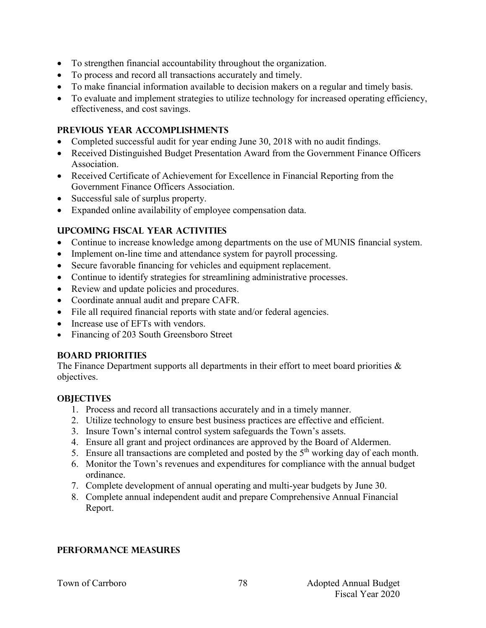- To strengthen financial accountability throughout the organization.
- To process and record all transactions accurately and timely.
- To make financial information available to decision makers on a regular and timely basis.
- To evaluate and implement strategies to utilize technology for increased operating efficiency, effectiveness, and cost savings.

#### **PREVIOUS YEAR ACCOMPLISHMENTS**

- Completed successful audit for year ending June 30, 2018 with no audit findings.
- Received Distinguished Budget Presentation Award from the Government Finance Officers Association.
- Received Certificate of Achievement for Excellence in Financial Reporting from the Government Finance Officers Association.
- Successful sale of surplus property.
- Expanded online availability of employee compensation data.

## **UPCOMING FISCAL YEAR ACTIVITIES**

- Continue to increase knowledge among departments on the use of MUNIS financial system.
- Implement on-line time and attendance system for payroll processing.
- Secure favorable financing for vehicles and equipment replacement.
- Continue to identify strategies for streamlining administrative processes.
- Review and update policies and procedures.
- Coordinate annual audit and prepare CAFR.
- File all required financial reports with state and/or federal agencies.
- Increase use of EFTs with vendors.
- Financing of 203 South Greensboro Street

## **BOARD PRIORITIES**

The Finance Department supports all departments in their effort to meet board priorities & objectives.

## **OBJECTIVES**

- 1. Process and record all transactions accurately and in a timely manner.
- 2. Utilize technology to ensure best business practices are effective and efficient.
- 3. Insure Town's internal control system safeguards the Town's assets.
- 4. Ensure all grant and project ordinances are approved by the Board of Aldermen.
- 5. Ensure all transactions are completed and posted by the  $5<sup>th</sup>$  working day of each month.
- 6. Monitor the Town's revenues and expenditures for compliance with the annual budget ordinance.
- 7. Complete development of annual operating and multi-year budgets by June 30.
- 8. Complete annual independent audit and prepare Comprehensive Annual Financial Report.

## **PERFORMANCE MEASURES**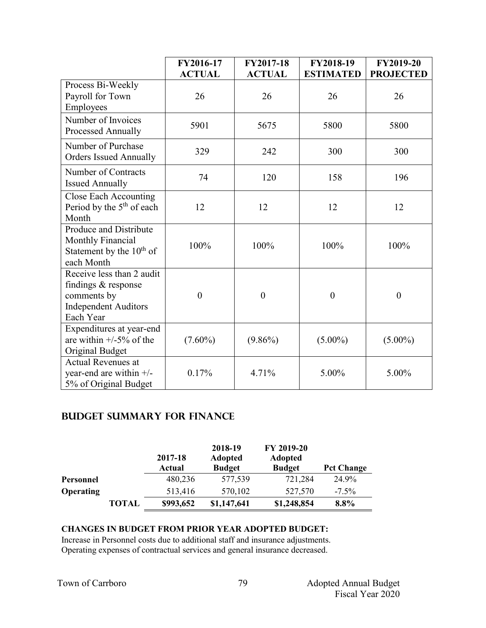|                                                                                                             | FY2016-17<br><b>ACTUAL</b> | FY2017-18<br><b>ACTUAL</b> | FY2018-19<br><b>ESTIMATED</b> | <b>FY2019-20</b><br><b>PROJECTED</b> |
|-------------------------------------------------------------------------------------------------------------|----------------------------|----------------------------|-------------------------------|--------------------------------------|
| Process Bi-Weekly<br>Payroll for Town<br>Employees                                                          | 26                         | 26                         | 26                            | 26                                   |
| Number of Invoices<br><b>Processed Annually</b>                                                             | 5901                       | 5675                       | 5800                          | 5800                                 |
| Number of Purchase<br><b>Orders Issued Annually</b>                                                         | 329                        | 242                        | 300                           | 300                                  |
| Number of Contracts<br><b>Issued Annually</b>                                                               | 74                         | 120                        | 158                           | 196                                  |
| Close Each Accounting<br>Period by the $5th$ of each<br>Month                                               | 12                         | 12                         | 12                            | 12                                   |
| <b>Produce and Distribute</b><br><b>Monthly Financial</b><br>Statement by the $10^{th}$ of<br>each Month    | 100%                       | 100%                       | 100%                          | 100%                                 |
| Receive less than 2 audit<br>findings & response<br>comments by<br><b>Independent Auditors</b><br>Each Year | $\boldsymbol{0}$           | $\boldsymbol{0}$           | $\boldsymbol{0}$              | $\boldsymbol{0}$                     |
| Expenditures at year-end<br>are within $+/-5\%$ of the<br>Original Budget                                   | $(7.60\%)$                 | $(9.86\%)$                 | $(5.00\%)$                    | $(5.00\%)$                           |
| <b>Actual Revenues at</b><br>year-end are within $+/-$<br>5% of Original Budget                             | 0.17%                      | 4.71%                      | 5.00%                         | 5.00%                                |

## **Budget summary for Finance**

|                  |              | 2017-18<br>Actual | 2018-19<br><b>Adopted</b><br><b>Budget</b> | FY 2019-20<br><b>Adopted</b><br><b>Budget</b> | <b>Pct Change</b> |
|------------------|--------------|-------------------|--------------------------------------------|-----------------------------------------------|-------------------|
| Personnel        |              | 480,236           | 577,539                                    | 721,284                                       | 24.9%             |
| <b>Operating</b> |              | 513,416           | 570,102                                    | 527,570                                       | $-7.5\%$          |
|                  | <b>TOTAL</b> | \$993,652         | \$1,147,641                                | \$1,248,854                                   | 8.8%              |

#### **CHANGES IN BUDGET FROM PRIOR YEAR ADOPTED BUDGET:**

Increase in Personnel costs due to additional staff and insurance adjustments. Operating expenses of contractual services and general insurance decreased.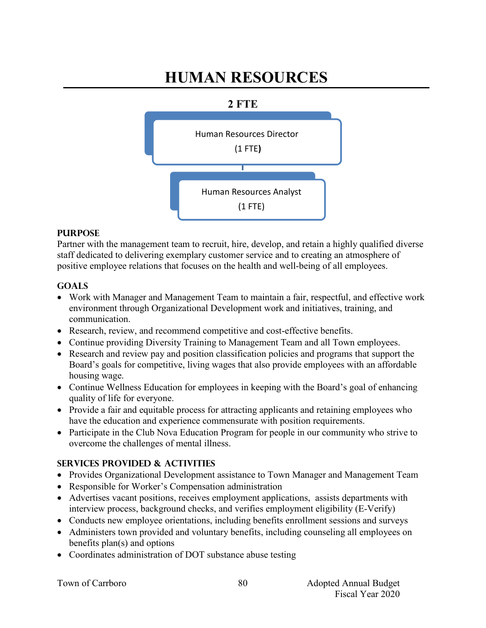## **HUMAN RESOURCES**





#### **PURPOSE**

Partner with the management team to recruit, hire, develop, and retain a highly qualified diverse staff dedicated to delivering exemplary customer service and to creating an atmosphere of positive employee relations that focuses on the health and well-being of all employees.

## **GOALS**

- Work with Manager and Management Team to maintain a fair, respectful, and effective work environment through Organizational Development work and initiatives, training, and communication.
- Research, review, and recommend competitive and cost-effective benefits.
- Continue providing Diversity Training to Management Team and all Town employees.
- Research and review pay and position classification policies and programs that support the Board's goals for competitive, living wages that also provide employees with an affordable housing wage.
- Continue Wellness Education for employees in keeping with the Board's goal of enhancing quality of life for everyone.
- Provide a fair and equitable process for attracting applicants and retaining employees who have the education and experience commensurate with position requirements.
- Participate in the Club Nova Education Program for people in our community who strive to overcome the challenges of mental illness.

## **SERVICES PROVIDED & ACTIVITIES**

- Provides Organizational Development assistance to Town Manager and Management Team
- Responsible for Worker's Compensation administration
- Advertises vacant positions, receives employment applications, assists departments with interview process, background checks, and verifies employment eligibility (E-Verify)
- Conducts new employee orientations, including benefits enrollment sessions and surveys
- Administers town provided and voluntary benefits, including counseling all employees on benefits plan(s) and options
- Coordinates administration of DOT substance abuse testing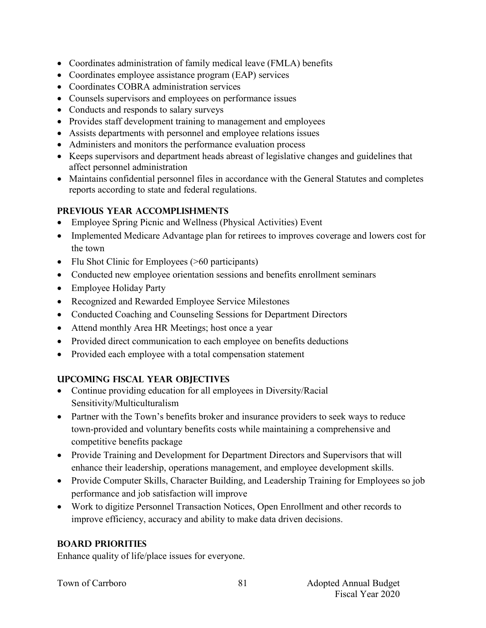- Coordinates administration of family medical leave (FMLA) benefits
- Coordinates employee assistance program (EAP) services
- Coordinates COBRA administration services
- Counsels supervisors and employees on performance issues
- Conducts and responds to salary surveys
- Provides staff development training to management and employees
- Assists departments with personnel and employee relations issues
- Administers and monitors the performance evaluation process
- Keeps supervisors and department heads abreast of legislative changes and guidelines that affect personnel administration
- Maintains confidential personnel files in accordance with the General Statutes and completes reports according to state and federal regulations.

## **PREVIOUS YEAR ACCOMPLISHMENTS**

- Employee Spring Picnic and Wellness (Physical Activities) Event
- Implemented Medicare Advantage plan for retirees to improves coverage and lowers cost for the town
- Flu Shot Clinic for Employees (>60 participants)
- Conducted new employee orientation sessions and benefits enrollment seminars
- Employee Holiday Party
- Recognized and Rewarded Employee Service Milestones
- Conducted Coaching and Counseling Sessions for Department Directors
- Attend monthly Area HR Meetings; host once a year
- Provided direct communication to each employee on benefits deductions
- Provided each employee with a total compensation statement

## **UPCOMING FISCAL YEAR OBJECTIVES**

- Continue providing education for all employees in Diversity/Racial Sensitivity/Multiculturalism
- Partner with the Town's benefits broker and insurance providers to seek ways to reduce town-provided and voluntary benefits costs while maintaining a comprehensive and competitive benefits package
- Provide Training and Development for Department Directors and Supervisors that will enhance their leadership, operations management, and employee development skills.
- Provide Computer Skills, Character Building, and Leadership Training for Employees so job performance and job satisfaction will improve
- Work to digitize Personnel Transaction Notices, Open Enrollment and other records to improve efficiency, accuracy and ability to make data driven decisions.

## **BOARD PRIORITIES**

Enhance quality of life/place issues for everyone.